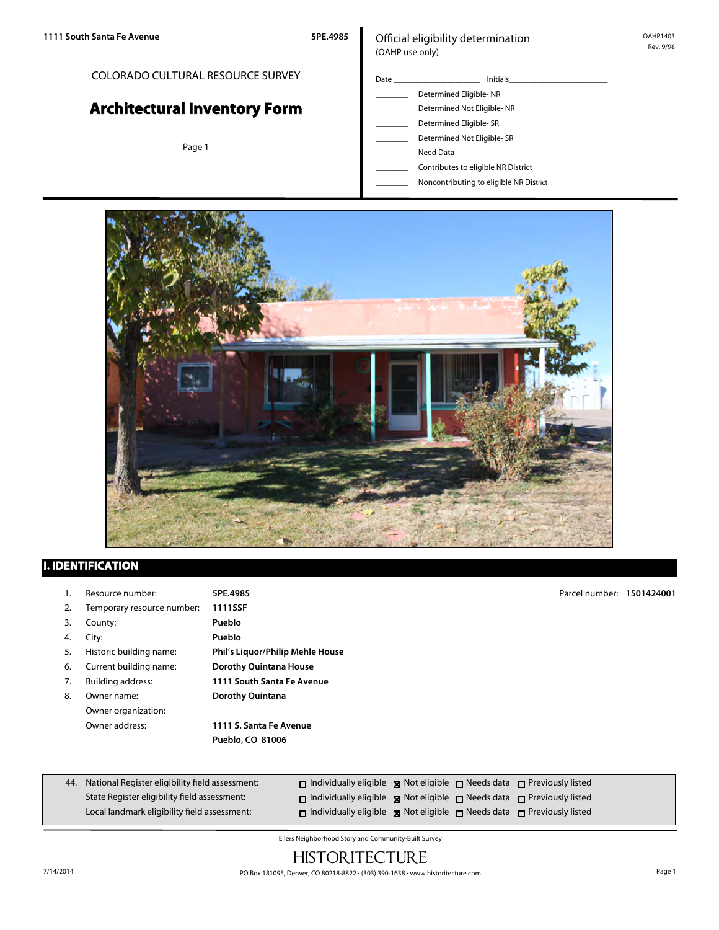COLORADO CULTURAL RESOURCE SURVEY

# **Architectural Inventory Form**

Page 1

#### Official eligibility determination (OAHP use only)

- Date \_\_\_\_\_\_\_\_\_\_\_\_\_\_\_\_\_\_\_\_\_ Initials\_\_\_\_\_\_\_\_\_\_\_\_\_\_\_\_\_\_\_\_\_\_\_\_ Determined Eligible- NR Determined Not Eligible- NR Determined Eligible- SR
	- Determined Not Eligible- SR
	- \_\_\_\_\_\_\_\_ Need Data
	- \_\_\_\_\_\_\_\_ Contributes to eligible NR District
	- \_\_\_\_\_\_\_\_ Noncontributing to eligible NR District



#### **I. IDENTIFICATION**

- 1. Resource number: **5PE.4985**
- 2. Temporary resource number: **1111SSF**
- 3. County: **Pueblo**
- 4. City: **Pueblo**
- 
- 
- 
- Owner organization:

5. Historic building name: **Phil's Liquor/Philip Mehle House** 6. Current building name: **Dorothy Quintana House** 7. Building address: **1111 South Santa Fe Avenue** 8. Owner name: **Dorothy Quintana** Owner address: **1111 S. Santa Fe Avenue**

**Pueblo, CO 81006**

Parcel number: **1501424001**

| 44. National Register eligibility field assessment: | $\Box$ Individually eligible $\boxtimes$ Not eligible $\Box$ Needs data $\Box$ Previously listed |  |  |
|-----------------------------------------------------|--------------------------------------------------------------------------------------------------|--|--|
| State Register eligibility field assessment:        | $\Box$ Individually eligible $\boxtimes$ Not eligible $\Box$ Needs data $\Box$ Previously listed |  |  |
| Local landmark eligibility field assessment:        | $\Box$ Individually eligible $\boxtimes$ Not eligible $\Box$ Needs data $\Box$ Previously listed |  |  |

Eilers Neighborhood Story and Community-Built Survey

## **HISTORITECTURE**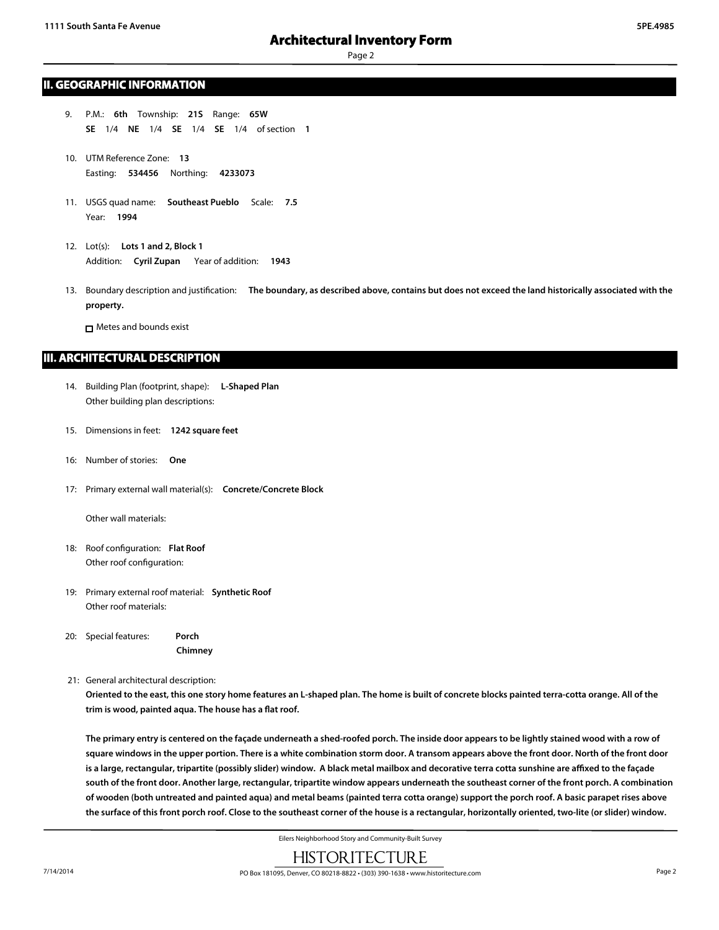#### **II. GEOGRAPHIC INFORMATION**

- 9. P.M.: **6th** Township: **21S** Range: **65W SE** 1/4 **NE** 1/4 **SE** 1/4 **SE** 1/4 of section **1**
- 10. UTM Reference Zone: **13** Easting: **534456** Northing: **4233073**
- 11. USGS quad name: **Southeast Pueblo** Scale: **7.5** Year: **1994**
- 12. Lot(s): **Lots 1 and 2, Block 1** Addition: **Cyril Zupan** Year of addition: **1943**
- 13. Boundary description and justification: **The boundary, as described above, contains but does not exceed the land historically associated with the property.**

**n** Metes and bounds exist

#### **III. ARCHITECTURAL DESCRIPTION**

- 14. Building Plan (footprint, shape): **L-Shaped Plan** Other building plan descriptions:
- 15. Dimensions in feet: **1242 square feet**
- 16: Number of stories: **One**
- 17: Primary external wall material(s): **Concrete/Concrete Block**

Other wall materials:

- 18: Roof configuration: **Flat Roof** Other roof configuration:
- 19: Primary external roof material: **Synthetic Roof** Other roof materials:

20: Special features: **Porch**

**Chimney**

21: General architectural description:

**Oriented to the east, this one story home features an L-shaped plan. The home is built of concrete blocks painted terra-cotta orange. All of the trim is wood, painted aqua. The house has a flat roof.**

**The primary entry is centered on the façade underneath a shed-roofed porch. The inside door appears to be lightly stained wood with a row of square windows in the upper portion. There is a white combination storm door. A transom appears above the front door. North of the front door is a large, rectangular, tripartite (possibly slider) window. A black metal mailbox and decorative terra cotta sunshine are affixed to the façade south of the front door. Another large, rectangular, tripartite window appears underneath the southeast corner of the front porch. A combination of wooden (both untreated and painted aqua) and metal beams (painted terra cotta orange) support the porch roof. A basic parapet rises above the surface of this front porch roof. Close to the southeast corner of the house is a rectangular, horizontally oriented, two-lite (or slider) window.**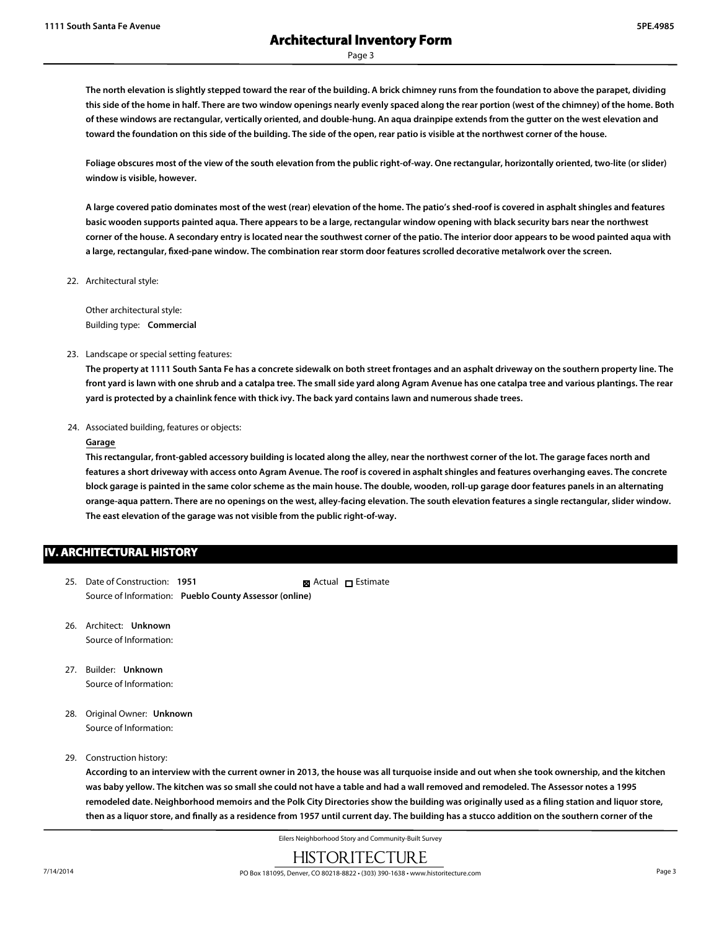**The north elevation is slightly stepped toward the rear of the building. A brick chimney runs from the foundation to above the parapet, dividing this side of the home in half. There are two window openings nearly evenly spaced along the rear portion (west of the chimney) of the home. Both of these windows are rectangular, vertically oriented, and double-hung. An aqua drainpipe extends from the gutter on the west elevation and toward the foundation on this side of the building. The side of the open, rear patio is visible at the northwest corner of the house.**

**Foliage obscures most of the view of the south elevation from the public right-of-way. One rectangular, horizontally oriented, two-lite (or slider) window is visible, however.**

**A large covered patio dominates most of the west (rear) elevation of the home. The patio's shed-roof is covered in asphalt shingles and features basic wooden supports painted aqua. There appears to be a large, rectangular window opening with black security bars near the northwest corner of the house. A secondary entry is located near the southwest corner of the patio. The interior door appears to be wood painted aqua with a large, rectangular, fixed-pane window. The combination rear storm door features scrolled decorative metalwork over the screen.**

22. Architectural style:

Other architectural style: Building type: **Commercial**

23. Landscape or special setting features:

**The property at 1111 South Santa Fe has a concrete sidewalk on both street frontages and an asphalt driveway on the southern property line. The front yard is lawn with one shrub and a catalpa tree. The small side yard along Agram Avenue has one catalpa tree and various plantings. The rear yard is protected by a chainlink fence with thick ivy. The back yard contains lawn and numerous shade trees.**

24. Associated building, features or objects:

#### **Garage**

**This rectangular, front-gabled accessory building is located along the alley, near the northwest corner of the lot. The garage faces north and features a short driveway with access onto Agram Avenue. The roof is covered in asphalt shingles and features overhanging eaves. The concrete block garage is painted in the same color scheme as the main house. The double, wooden, roll-up garage door features panels in an alternating orange-aqua pattern. There are no openings on the west, alley-facing elevation. The south elevation features a single rectangular, slider window. The east elevation of the garage was not visible from the public right-of-way.**

#### **IV. ARCHITECTURAL HISTORY**

- 25. Date of Construction: **1951** Source of Information: **Pueblo County Assessor (online)** ■ Actual □ Estimate
- 26. Architect: **Unknown** Source of Information:
- 27. Builder: **Unknown** Source of Information:
- 28. Original Owner: **Unknown** Source of Information:

#### 29. Construction history:

**According to an interview with the current owner in 2013, the house was all turquoise inside and out when she took ownership, and the kitchen was baby yellow. The kitchen was so small she could not have a table and had a wall removed and remodeled. The Assessor notes a 1995 remodeled date. Neighborhood memoirs and the Polk City Directories show the building was originally used as a filing station and liquor store, then as a liquor store, and finally as a residence from 1957 until current day. The building has a stucco addition on the southern corner of the**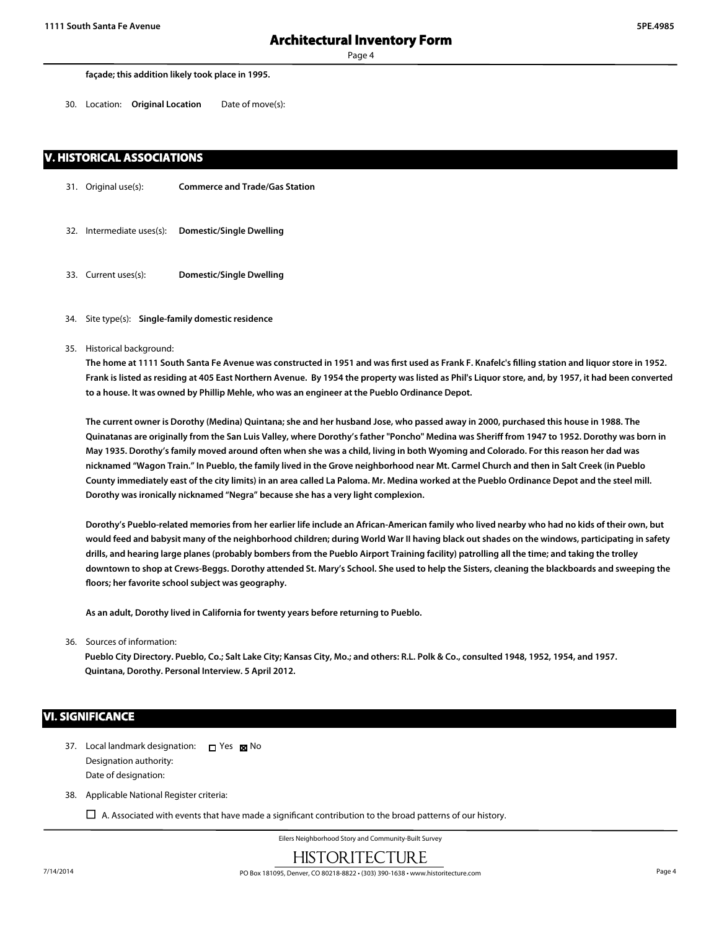30. Location: **Original Location** Date of move(s):

#### **V. HISTORICAL ASSOCIATIONS**

- 31. Original use(s): **Commerce and Trade/Gas Station**
- 32. Intermediate uses(s): **Domestic/Single Dwelling**
- 33. Current uses(s): **Domestic/Single Dwelling**

#### 34. Site type(s): **Single-family domestic residence**

35. Historical background:

**The home at 1111 South Santa Fe Avenue was constructed in 1951 and was first used as Frank F. Knafelc's filling station and liquor store in 1952. Frank is listed as residing at 405 East Northern Avenue. By 1954 the property was listed as Phil's Liquor store, and, by 1957, it had been converted to a house. It was owned by Phillip Mehle, who was an engineer at the Pueblo Ordinance Depot.**

**The current owner is Dorothy (Medina) Quintana; she and her husband Jose, who passed away in 2000, purchased this house in 1988. The Quinatanas are originally from the San Luis Valley, where Dorothy's father "Poncho" Medina was Sheriff from 1947 to 1952. Dorothy was born in May 1935. Dorothy's family moved around often when she was a child, living in both Wyoming and Colorado. For this reason her dad was nicknamed "Wagon Train." In Pueblo, the family lived in the Grove neighborhood near Mt. Carmel Church and then in Salt Creek (in Pueblo County immediately east of the city limits) in an area called La Paloma. Mr. Medina worked at the Pueblo Ordinance Depot and the steel mill. Dorothy was ironically nicknamed "Negra" because she has a very light complexion.**

**Dorothy's Pueblo-related memories from her earlier life include an African-American family who lived nearby who had no kids of their own, but would feed and babysit many of the neighborhood children; during World War II having black out shades on the windows, participating in safety drills, and hearing large planes (probably bombers from the Pueblo Airport Training facility) patrolling all the time; and taking the trolley downtown to shop at Crews-Beggs. Dorothy attended St. Mary's School. She used to help the Sisters, cleaning the blackboards and sweeping the floors; her favorite school subject was geography.**

**As an adult, Dorothy lived in California for twenty years before returning to Pueblo.**

36. Sources of information:

**Pueblo City Directory. Pueblo, Co.; Salt Lake City; Kansas City, Mo.; and others: R.L. Polk & Co., consulted 1948, 1952, 1954, and 1957. Quintana, Dorothy. Personal Interview. 5 April 2012.**

#### **VI. SIGNIFICANCE**

- 37. Local landmark designation:  $\Box$  Yes  $\boxtimes$  No Designation authority: Date of designation:
- 38. Applicable National Register criteria:

 $\Box$  A. Associated with events that have made a significant contribution to the broad patterns of our history.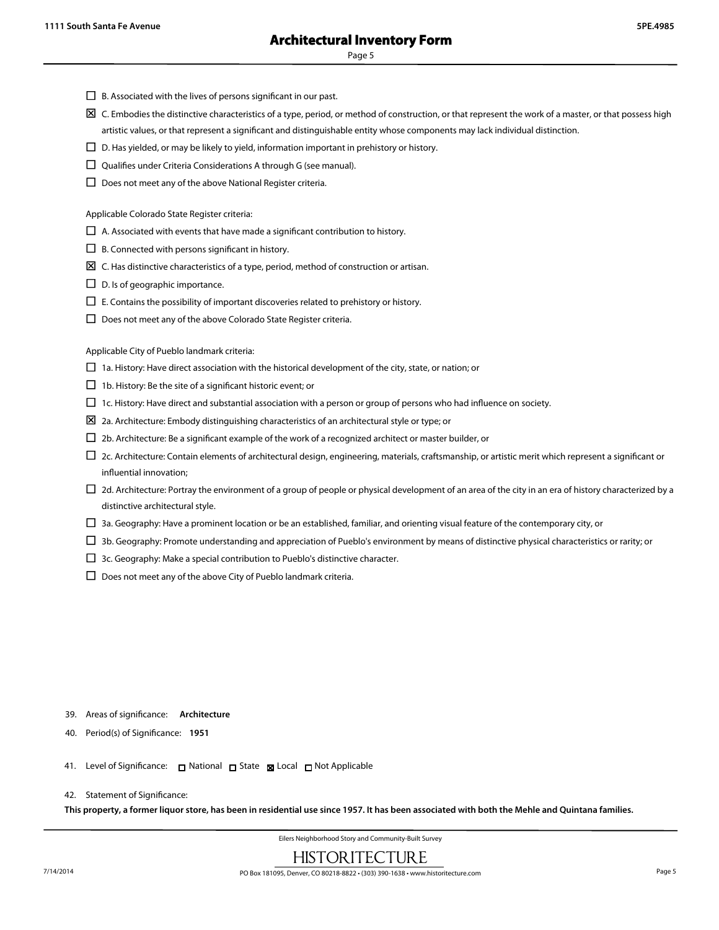- $\square$  B. Associated with the lives of persons significant in our past.
- $\boxtimes$  C. Embodies the distinctive characteristics of a type, period, or method of construction, or that represent the work of a master, or that possess high artistic values, or that represent a significant and distinguishable entity whose components may lack individual distinction.
- $\square$  D. Has yielded, or may be likely to yield, information important in prehistory or history.
- $\square$  Qualifies under Criteria Considerations A through G (see manual).
- $\square$  Does not meet any of the above National Register criteria.

Applicable Colorado State Register criteria:

- $\Box$  A. Associated with events that have made a significant contribution to history.
- $\Box$  B. Connected with persons significant in history.
- $\boxtimes\,$  C. Has distinctive characteristics of a type, period, method of construction or artisan.
- $\square$  D. Is of geographic importance.
- $\square$  E. Contains the possibility of important discoveries related to prehistory or history.
- $\square$  Does not meet any of the above Colorado State Register criteria.

Applicable City of Pueblo landmark criteria:

- $\Box$  1a. History: Have direct association with the historical development of the city, state, or nation; or
- $\Box$  1b. History: Be the site of a significant historic event; or
- $\Box$  1c. History: Have direct and substantial association with a person or group of persons who had influence on society.
- $\Sigma$  2a. Architecture: Embody distinguishing characteristics of an architectural style or type; or
- $\square$  2b. Architecture: Be a significant example of the work of a recognized architect or master builder, or
- $\Box$  2c. Architecture: Contain elements of architectural design, engineering, materials, craftsmanship, or artistic merit which represent a significant or influential innovation;
- $\Box$  2d. Architecture: Portray the environment of a group of people or physical development of an area of the city in an era of history characterized by a distinctive architectural style.
- $\Box$  3a. Geography: Have a prominent location or be an established, familiar, and orienting visual feature of the contemporary city, or
- $\Box$  3b. Geography: Promote understanding and appreciation of Pueblo's environment by means of distinctive physical characteristics or rarity; or
- $\square$  3c. Geography: Make a special contribution to Pueblo's distinctive character.
- $\square$  Does not meet any of the above City of Pueblo landmark criteria.

- 39. Areas of significance: **Architecture**
- 40. Period(s) of Significance: **1951**
- 41. Level of Significance: □ National □ State 図 Local □ Not Applicable

#### 42. Statement of Significance:

**This property, a former liquor store, has been in residential use since 1957. It has been associated with both the Mehle and Quintana families.**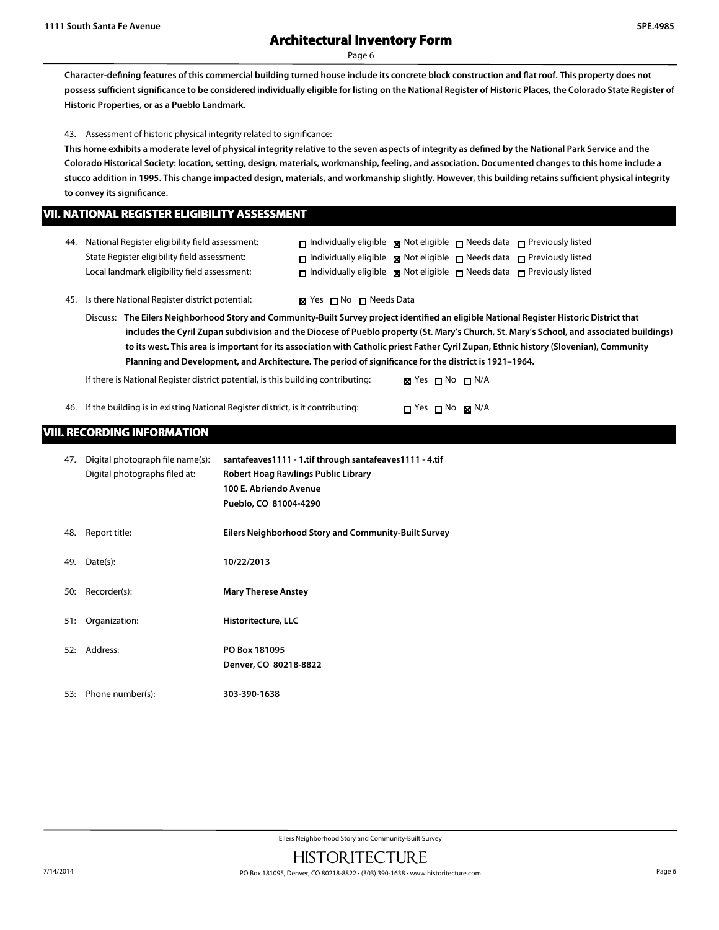**Character-defining features of this commercial building turned house include its concrete block construction and flat roof. This property does not possess sufficient significance to be considered individually eligible for listing on the National Register of Historic Places, the Colorado State Register of Historic Properties, or as a Pueblo Landmark.**

43. Assessment of historic physical integrity related to significance:

**This home exhibits a moderate level of physical integrity relative to the seven aspects of integrity as defined by the National Park Service and the Colorado Historical Society: location, setting, design, materials, workmanship, feeling, and association. Documented changes to this home include a stucco addition in 1995. This change impacted design, materials, and workmanship slightly. However, this building retains sufficient physical integrity to convey its significance.**

#### **VII. NATIONAL REGISTER ELIGIBILITY ASSESSMENT**

| 44. National Register eligibility field assessment: | $\Box$ Individually eligible $\boxtimes$ Not eligible $\Box$ Needs data $\Box$ Previously listed |  |  |
|-----------------------------------------------------|--------------------------------------------------------------------------------------------------|--|--|
| State Register eligibility field assessment:        | $\Box$ Individually eligible $\boxtimes$ Not eligible $\Box$ Needs data $\Box$ Previously listed |  |  |
| Local landmark eligibility field assessment:        | $\Box$ Individually eligible $\boxtimes$ Not eligible $\Box$ Needs data $\Box$ Previously listed |  |  |

45. Is there National Register district potential: **XX** Yes  $\Box$  No  $\Box$  Needs Data

Discuss: **The Eilers Neighborhood Story and Community-Built Survey project identified an eligible National Register Historic District that includes the Cyril Zupan subdivision and the Diocese of Pueblo property (St. Mary's Church, St. Mary's School, and associated buildings) to its west. This area is important for its association with Catholic priest Father Cyril Zupan, Ethnic history (Slovenian), Community Planning and Development, and Architecture. The period of significance for the district is 1921–1964.**

If there is National Register district potential, is this building contributing:  $\boxtimes$  Yes  $\Box$  No  $\Box$  N/A

46. If the building is in existing National Register district, is it contributing:  $\Box$  Yes  $\Box$  No  $\boxtimes$  N/A

### **VIII. RECORDING INFORMATION**

| 47. | Digital photograph file name(s):<br>Digital photographs filed at: | santafeaves1111 - 1.tif through santafeaves1111 - 4.tif<br>Robert Hoag Rawlings Public Library<br>100 E. Abriendo Avenue<br>Pueblo, CO 81004-4290 |
|-----|-------------------------------------------------------------------|---------------------------------------------------------------------------------------------------------------------------------------------------|
| 48. | Report title:                                                     | Eilers Neighborhood Story and Community-Built Survey                                                                                              |
| 49. | Date(s):                                                          | 10/22/2013                                                                                                                                        |
| 50: | Recorder(s):                                                      | <b>Mary Therese Anstey</b>                                                                                                                        |
| 51: | Organization:                                                     | Historitecture, LLC                                                                                                                               |
| 52: | Address:                                                          | PO Box 181095<br>Denver, CO 80218-8822                                                                                                            |
| 53: | Phone number(s):                                                  | 303-390-1638                                                                                                                                      |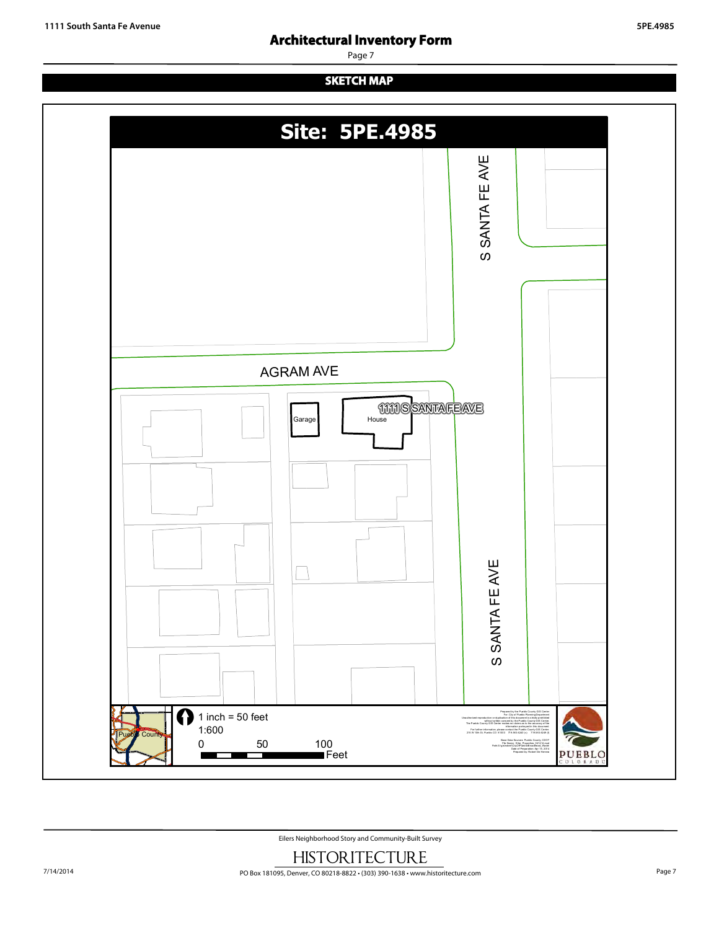## **Architectural Inventory Form**

Page 7

## **SKETCH MAP**



Eilers Neighborhood Story and Community-Built Survey **HISTORITECTURE**